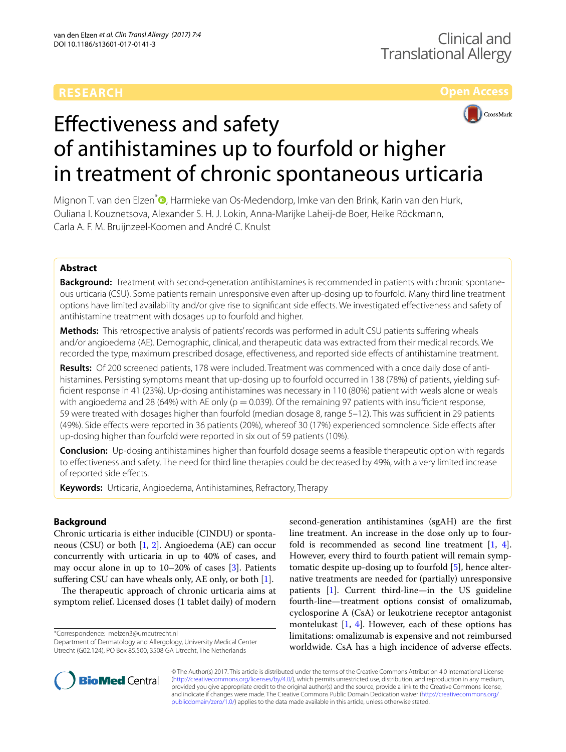# **Open Access**



# Effectiveness and safety of antihistamines up to fourfold or higher in treatment of chronic spontaneous urticaria

Mignon T. van den Elzen<sup>[\\*](http://orcid.org/0000-0002-8796-2231)</sup><sup>®</sup>, Harmieke van Os-Medendorp, Imke van den Brink, Karin van den Hurk, Ouliana I. Kouznetsova, Alexander S. H. J. Lokin, Anna‑Marijke Laheij‑de Boer, Heike Röckmann, Carla A. F. M. Bruijnzeel‑Koomen and André C. Knulst

# **Abstract**

**Background:** Treatment with second-generation antihistamines is recommended in patients with chronic spontaneous urticaria (CSU). Some patients remain unresponsive even after up-dosing up to fourfold. Many third line treatment options have limited availability and/or give rise to significant side effects. We investigated effectiveness and safety of antihistamine treatment with dosages up to fourfold and higher.

**Methods:** This retrospective analysis of patients' records was performed in adult CSU patients suffering wheals and/or angioedema (AE). Demographic, clinical, and therapeutic data was extracted from their medical records. We recorded the type, maximum prescribed dosage, effectiveness, and reported side effects of antihistamine treatment.

Results: Of 200 screened patients, 178 were included. Treatment was commenced with a once daily dose of antihistamines. Persisting symptoms meant that up-dosing up to fourfold occurred in 138 (78%) of patients, yielding sufficient response in 41 (23%). Up-dosing antihistamines was necessary in 110 (80%) patient with weals alone or weals with angioedema and 28 (64%) with AE only ( $p = 0.039$ ). Of the remaining 97 patients with insufficient response, 59 were treated with dosages higher than fourfold (median dosage 8, range 5–12). This was sufficient in 29 patients (49%). Side effects were reported in 36 patients (20%), whereof 30 (17%) experienced somnolence. Side effects after up-dosing higher than fourfold were reported in six out of 59 patients (10%).

**Conclusion:** Up-dosing antihistamines higher than fourfold dosage seems a feasible therapeutic option with regards to effectiveness and safety. The need for third line therapies could be decreased by 49%, with a very limited increase of reported side effects.

**Keywords:** Urticaria, Angioedema, Antihistamines, Refractory, Therapy

# **Background**

Chronic urticaria is either inducible (CINDU) or spontaneous (CSU) or both [[1](#page-6-0), [2\]](#page-6-1). Angioedema (AE) can occur concurrently with urticaria in up to 40% of cases, and may occur alone in up to 10–20% of cases [[3\]](#page-6-2). Patients suffering CSU can have wheals only, AE only, or both [[1\]](#page-6-0).

The therapeutic approach of chronic urticaria aims at symptom relief. Licensed doses (1 tablet daily) of modern

\*Correspondence: melzen3@umcutrecht.nl

Department of Dermatology and Allergology, University Medical Center Utrecht (G02.124), PO Box 85.500, 3508 GA Utrecht, The Netherlands

second-generation antihistamines (sgAH) are the first line treatment. An increase in the dose only up to fourfold is recommended as second line treatment [\[1](#page-6-0), [4](#page-6-3)]. However, every third to fourth patient will remain symptomatic despite up-dosing up to fourfold [\[5](#page-6-4)], hence alternative treatments are needed for (partially) unresponsive patients [[1](#page-6-0)]. Current third-line—in the US guideline fourth-line—treatment options consist of omalizumab, cyclosporine A (CsA) or leukotriene receptor antagonist montelukast  $[1, 4]$  $[1, 4]$  $[1, 4]$  $[1, 4]$ . However, each of these options has limitations: omalizumab is expensive and not reimbursed worldwide. CsA has a high incidence of adverse effects.



© The Author(s) 2017. This article is distributed under the terms of the Creative Commons Attribution 4.0 International License [\(http://creativecommons.org/licenses/by/4.0/\)](http://creativecommons.org/licenses/by/4.0/), which permits unrestricted use, distribution, and reproduction in any medium, provided you give appropriate credit to the original author(s) and the source, provide a link to the Creative Commons license, and indicate if changes were made. The Creative Commons Public Domain Dedication waiver ([http://creativecommons.org/](http://creativecommons.org/publicdomain/zero/1.0/) [publicdomain/zero/1.0/](http://creativecommons.org/publicdomain/zero/1.0/)) applies to the data made available in this article, unless otherwise stated.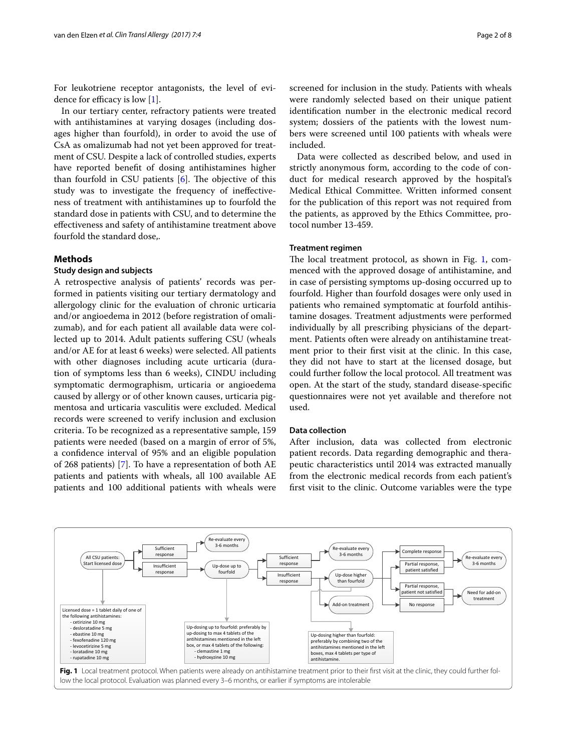For leukotriene receptor antagonists, the level of evidence for efficacy is low [\[1\]](#page-6-0).

In our tertiary center, refractory patients were treated with antihistamines at varying dosages (including dosages higher than fourfold), in order to avoid the use of CsA as omalizumab had not yet been approved for treatment of CSU. Despite a lack of controlled studies, experts have reported benefit of dosing antihistamines higher than fourfold in CSU patients [[6\]](#page-6-5). The objective of this study was to investigate the frequency of ineffectiveness of treatment with antihistamines up to fourfold the standard dose in patients with CSU, and to determine the effectiveness and safety of antihistamine treatment above fourfold the standard dose,.

# **Methods**

# **Study design and subjects**

A retrospective analysis of patients' records was performed in patients visiting our tertiary dermatology and allergology clinic for the evaluation of chronic urticaria and/or angioedema in 2012 (before registration of omalizumab), and for each patient all available data were collected up to 2014. Adult patients suffering CSU (wheals and/or AE for at least 6 weeks) were selected. All patients with other diagnoses including acute urticaria (duration of symptoms less than 6 weeks), CINDU including symptomatic dermographism, urticaria or angioedema caused by allergy or of other known causes, urticaria pigmentosa and urticaria vasculitis were excluded. Medical records were screened to verify inclusion and exclusion criteria. To be recognized as a representative sample, 159 patients were needed (based on a margin of error of 5%, a confidence interval of 95% and an eligible population of 268 patients) [\[7](#page-6-6)]. To have a representation of both AE patients and patients with wheals, all 100 available AE patients and 100 additional patients with wheals were

screened for inclusion in the study. Patients with wheals were randomly selected based on their unique patient identification number in the electronic medical record system; dossiers of the patients with the lowest numbers were screened until 100 patients with wheals were included.

Data were collected as described below, and used in strictly anonymous form, according to the code of conduct for medical research approved by the hospital's Medical Ethical Committee. Written informed consent for the publication of this report was not required from the patients, as approved by the Ethics Committee, protocol number 13-459.

#### **Treatment regimen**

The local treatment protocol, as shown in Fig. [1](#page-1-0), commenced with the approved dosage of antihistamine, and in case of persisting symptoms up-dosing occurred up to fourfold. Higher than fourfold dosages were only used in patients who remained symptomatic at fourfold antihistamine dosages. Treatment adjustments were performed individually by all prescribing physicians of the department. Patients often were already on antihistamine treatment prior to their first visit at the clinic. In this case, they did not have to start at the licensed dosage, but could further follow the local protocol. All treatment was open. At the start of the study, standard disease-specific questionnaires were not yet available and therefore not used.

#### **Data collection**

After inclusion, data was collected from electronic patient records. Data regarding demographic and therapeutic characteristics until 2014 was extracted manually from the electronic medical records from each patient's first visit to the clinic. Outcome variables were the type

<span id="page-1-0"></span>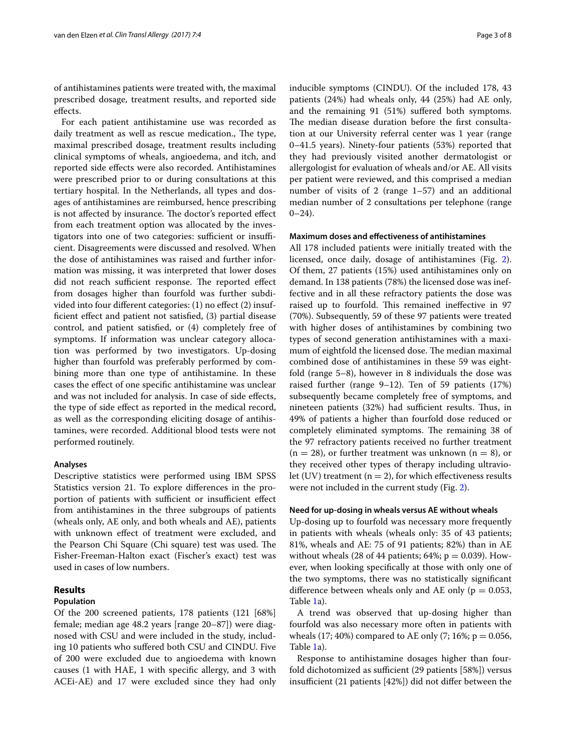of antihistamines patients were treated with, the maximal prescribed dosage, treatment results, and reported side effects.

For each patient antihistamine use was recorded as daily treatment as well as rescue medication., The type, maximal prescribed dosage, treatment results including clinical symptoms of wheals, angioedema, and itch, and reported side effects were also recorded. Antihistamines were prescribed prior to or during consultations at this tertiary hospital. In the Netherlands, all types and dosages of antihistamines are reimbursed, hence prescribing is not affected by insurance. The doctor's reported effect from each treatment option was allocated by the investigators into one of two categories: sufficient or insufficient. Disagreements were discussed and resolved. When the dose of antihistamines was raised and further information was missing, it was interpreted that lower doses did not reach sufficient response. The reported effect from dosages higher than fourfold was further subdivided into four different categories: (1) no effect (2) insufficient effect and patient not satisfied, (3) partial disease control, and patient satisfied, or (4) completely free of symptoms. If information was unclear category allocation was performed by two investigators. Up-dosing higher than fourfold was preferably performed by combining more than one type of antihistamine. In these cases the effect of one specific antihistamine was unclear and was not included for analysis. In case of side effects, the type of side effect as reported in the medical record, as well as the corresponding eliciting dosage of antihistamines, were recorded. Additional blood tests were not performed routinely.

#### **Analyses**

Descriptive statistics were performed using IBM SPSS Statistics version 21. To explore differences in the proportion of patients with sufficient or insufficient effect from antihistamines in the three subgroups of patients (wheals only, AE only, and both wheals and AE), patients with unknown effect of treatment were excluded, and the Pearson Chi Square (Chi square) test was used. The Fisher-Freeman-Halton exact (Fischer's exact) test was used in cases of low numbers.

# **Results**

#### **Population**

Of the 200 screened patients, 178 patients (121 [68%] female; median age 48.2 years [range 20–87]) were diagnosed with CSU and were included in the study, including 10 patients who suffered both CSU and CINDU. Five of 200 were excluded due to angioedema with known causes (1 with HAE, 1 with specific allergy, and 3 with ACEi-AE) and 17 were excluded since they had only inducible symptoms (CINDU). Of the included 178, 43 patients (24%) had wheals only, 44 (25%) had AE only, and the remaining 91 (51%) suffered both symptoms. The median disease duration before the first consultation at our University referral center was 1 year (range 0–41.5 years). Ninety-four patients (53%) reported that they had previously visited another dermatologist or allergologist for evaluation of wheals and/or AE. All visits per patient were reviewed, and this comprised a median number of visits of 2 (range 1–57) and an additional median number of 2 consultations per telephone (range  $0-24$ ).

#### **Maximum doses and effectiveness of antihistamines**

All 178 included patients were initially treated with the licensed, once daily, dosage of antihistamines (Fig. [2](#page-3-0)). Of them, 27 patients (15%) used antihistamines only on demand. In 138 patients (78%) the licensed dose was ineffective and in all these refractory patients the dose was raised up to fourfold. This remained ineffective in 97 (70%). Subsequently, 59 of these 97 patients were treated with higher doses of antihistamines by combining two types of second generation antihistamines with a maximum of eightfold the licensed dose. The median maximal combined dose of antihistamines in these 59 was eightfold (range 5–8), however in 8 individuals the dose was raised further (range 9–12). Ten of 59 patients (17%) subsequently became completely free of symptoms, and nineteen patients (32%) had sufficient results. Thus, in 49% of patients a higher than fourfold dose reduced or completely eliminated symptoms. The remaining 38 of the 97 refractory patients received no further treatment  $(n = 28)$ , or further treatment was unknown  $(n = 8)$ , or they received other types of therapy including ultraviolet (UV) treatment ( $n = 2$ ), for which effectiveness results were not included in the current study (Fig. [2\)](#page-3-0).

#### **Need for up‑dosing in wheals versus AE without wheals**

Up-dosing up to fourfold was necessary more frequently in patients with wheals (wheals only: 35 of 43 patients; 81%, wheals and AE: 75 of 91 patients; 82%) than in AE without wheals (28 of 44 patients;  $64\%$ ;  $p = 0.039$ ). However, when looking specifically at those with only one of the two symptoms, there was no statistically significant difference between wheals only and AE only ( $p = 0.053$ , Table [1](#page-4-0)a).

A trend was observed that up-dosing higher than fourfold was also necessary more often in patients with wheals (17; 40%) compared to AE only (7; 16%;  $p = 0.056$ , Table [1](#page-4-0)a).

Response to antihistamine dosages higher than fourfold dichotomized as sufficient (29 patients [58%]) versus insufficient (21 patients [42%]) did not differ between the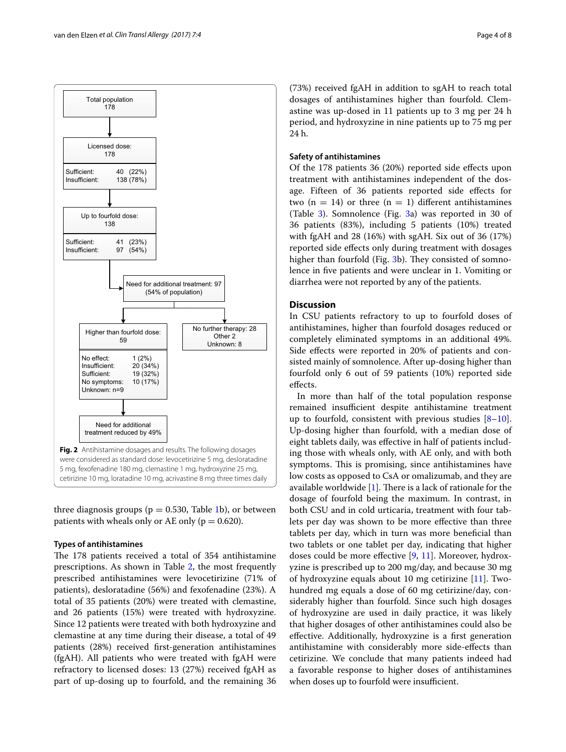

<span id="page-3-0"></span>three diagnosis groups ( $p = 0.530$ , Table [1](#page-4-0)b), or between patients with wheals only or AE only ( $p = 0.620$ ).

#### **Types of antihistamines**

The 178 patients received a total of 354 antihistamine prescriptions. As shown in Table [2,](#page-4-1) the most frequently prescribed antihistamines were levocetirizine (71% of patients), desloratadine (56%) and fexofenadine (23%). A total of 35 patients (20%) were treated with clemastine, and 26 patients (15%) were treated with hydroxyzine. Since 12 patients were treated with both hydroxyzine and clemastine at any time during their disease, a total of 49 patients (28%) received first-generation antihistamines (fgAH). All patients who were treated with fgAH were refractory to licensed doses: 13 (27%) received fgAH as part of up-dosing up to fourfold, and the remaining 36 (73%) received fgAH in addition to sgAH to reach total dosages of antihistamines higher than fourfold. Clemastine was up-dosed in 11 patients up to 3 mg per 24 h period, and hydroxyzine in nine patients up to 75 mg per 24 h.

# **Safety of antihistamines**

Of the 178 patients 36 (20%) reported side effects upon treatment with antihistamines independent of the dosage. Fifteen of 36 patients reported side effects for two  $(n = 14)$  or three  $(n = 1)$  different antihistamines (Table [3\)](#page-5-0). Somnolence (Fig. [3a](#page-5-1)) was reported in 30 of 36 patients (83%), including 5 patients (10%) treated with fgAH and 28 (16%) with sgAH. Six out of 36 (17%) reported side effects only during treatment with dosages higher than fourfold (Fig. [3b](#page-5-1)). They consisted of somnolence in five patients and were unclear in 1. Vomiting or diarrhea were not reported by any of the patients.

# **Discussion**

In CSU patients refractory to up to fourfold doses of antihistamines, higher than fourfold dosages reduced or completely eliminated symptoms in an additional 49%. Side effects were reported in 20% of patients and consisted mainly of somnolence. After up-dosing higher than fourfold only 6 out of 59 patients (10%) reported side effects.

In more than half of the total population response remained insufficient despite antihistamine treatment up to fourfold, consistent with previous studies [\[8](#page-6-7)[–10](#page-6-8)]. Up-dosing higher than fourfold, with a median dose of eight tablets daily, was effective in half of patients including those with wheals only, with AE only, and with both symptoms. This is promising, since antihistamines have low costs as opposed to CsA or omalizumab, and they are available worldwide [[1\]](#page-6-0). There is a lack of rationale for the dosage of fourfold being the maximum. In contrast, in both CSU and in cold urticaria, treatment with four tablets per day was shown to be more effective than three tablets per day, which in turn was more beneficial than two tablets or one tablet per day, indicating that higher doses could be more effective [\[9](#page-6-9), [11](#page-6-10)]. Moreover, hydroxyzine is prescribed up to 200 mg/day, and because 30 mg of hydroxyzine equals about 10 mg cetirizine [[11\]](#page-6-10). Twohundred mg equals a dose of 60 mg cetirizine/day, considerably higher than fourfold. Since such high dosages of hydroxyzine are used in daily practice, it was likely that higher dosages of other antihistamines could also be effective. Additionally, hydroxyzine is a first generation antihistamine with considerably more side-effects than cetirizine. We conclude that many patients indeed had a favorable response to higher doses of antihistamines when doses up to fourfold were insufficient.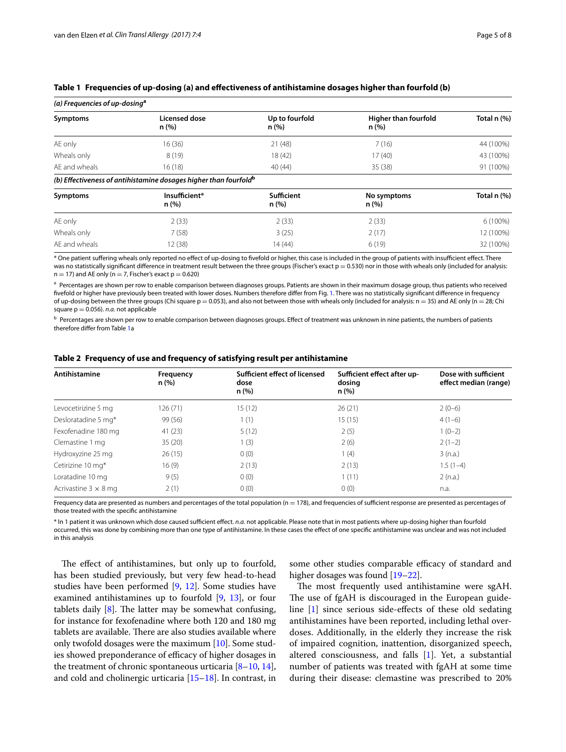| (a) Frequencies of up-dosing <sup>a</sup> |                        |                        |                                 |             |
|-------------------------------------------|------------------------|------------------------|---------------------------------|-------------|
| Symptoms                                  | Licensed dose<br>n (%) | Up to fourfold<br>n(%) | Higher than fourfold<br>$n$ (%) | Total n (%) |
| AE only                                   | 16 (36)                | 21(48)                 | 7(16)                           | 44 (100%)   |
| Wheals only                               | 8(19)                  | 18(42)                 | 17 (40)                         | 43 (100%)   |
| AE and wheals                             | 16(18)                 | 40(44)                 | 35(38)                          | 91 (100%)   |

# <span id="page-4-0"></span>**Table 1 Frequencies of up-dosing (a) and effectiveness of antihistamine dosages higher than fourfold (b)**

#### *(b) Effectiveness of antihistamine dosages higher than fourfold***<sup>b</sup>**

| Symptoms      | Insufficient*<br>n(%) | Sufficient<br>n(%) | No symptoms<br>n (%) | Total n (%) |
|---------------|-----------------------|--------------------|----------------------|-------------|
| AE only       | 2(33)                 | 2(33)              | 2(33)                | $6(100\%)$  |
| Wheals only   | 7 (58)                | 3(25)              | 2(17)                | 12 (100%)   |
| AE and wheals | 12 (38)               | 14 (44)            | 6(19)                | 32 (100%)   |

\* One patient suffering wheals only reported no effect of up-dosing to fivefold or higher, this case is included in the group of patients with insufficient effect. There was no statistically significant difference in treatment result between the three groups (Fischer's exact p = 0.530) nor in those with wheals only (included for analysis:  $n = 17$ ) and AE only ( $n = 7$ , Fischer's exact  $p = 0.620$ )

<sup>a</sup> Percentages are shown per row to enable comparison between diagnoses groups. Patients are shown in their maximum dosage group, thus patients who received fivefold or higher have previously been treated with lower doses. Numbers therefore differ from Fig. [1.](#page-1-0) There was no statistically significant difference in frequency of up-dosing between the three groups (Chi square  $p = 0.053$ ), and also not between those with wheals only (included for analysis:  $n = 35$ ) and AE only (n = 28; Chi square  $p = 0.056$ ). *n.a.* not applicable

b Percentages are shown per row to enable comparison between diagnoses groups. Effect of treatment was unknown in nine patients, the numbers of patients therefore differ from Table [1a](#page-4-0)

| Antihistamine               | Frequency<br>n (%) | Sufficient effect of licensed<br>dose<br>n (%) | Sufficient effect after up-<br>dosing<br>n (%) | Dose with sufficient<br>effect median (range) |
|-----------------------------|--------------------|------------------------------------------------|------------------------------------------------|-----------------------------------------------|
| Levocetirizine 5 mg         | 126 (71)           | 15(12)                                         | 26(21)                                         | $2(0-6)$                                      |
| Desloratadine 5 mg*         | 99 (56)            | 1(1)                                           | 15(15)                                         | $4(1-6)$                                      |
| Fexofenadine 180 mg         | 41(23)             | 5(12)                                          | 2(5)                                           | $1(0-2)$                                      |
| Clemastine 1 mg             | 35(20)             | 1(3)                                           | 2(6)                                           | $2(1-2)$                                      |
| Hydroxyzine 25 mg           | 26(15)             | 0(0)                                           | 1(4)                                           | 3(n.a.)                                       |
| Cetirizine 10 mg*           | 16(9)              | 2(13)                                          | 2(13)                                          | $1.5(1-4)$                                    |
| Loratadine 10 mg            | 9(5)               | 0(0)                                           | 1(11)                                          | 2(n.a.)                                       |
| Acrivastine $3 \times 8$ mg | 2(1)               | 0(0)                                           | 0(0)                                           | n.a.                                          |

#### <span id="page-4-1"></span>**Table 2 Frequency of use and frequency of satisfying result per antihistamine**

Frequency data are presented as numbers and percentages of the total population ( $n = 178$ ), and frequencies of sufficient response are presented as percentages of those treated with the specific antihistamine

\* In 1 patient it was unknown which dose caused sufficient effect. *n.a.* not applicable. Please note that in most patients where up-dosing higher than fourfold occurred, this was done by combining more than one type of antihistamine. In these cases the effect of one specific antihistamine was unclear and was not included in this analysis

The effect of antihistamines, but only up to fourfold, has been studied previously, but very few head-to-head studies have been performed [\[9,](#page-6-9) [12\]](#page-7-0). Some studies have examined antihistamines up to fourfold [\[9](#page-6-9), [13](#page-7-1)], or four tablets daily [[8\]](#page-6-7). The latter may be somewhat confusing, for instance for fexofenadine where both 120 and 180 mg tablets are available. There are also studies available where only twofold dosages were the maximum [\[10\]](#page-6-8). Some studies showed preponderance of efficacy of higher dosages in the treatment of chronic spontaneous urticaria  $[8-10, 14]$  $[8-10, 14]$  $[8-10, 14]$  $[8-10, 14]$  $[8-10, 14]$ , and cold and cholinergic urticaria [[15](#page-7-3)[–18](#page-7-4)]. In contrast, in

some other studies comparable efficacy of standard and higher dosages was found [[19](#page-7-5)[–22\]](#page-7-6).

The most frequently used antihistamine were sgAH. The use of fgAH is discouraged in the European guideline [\[1](#page-6-0)] since serious side-effects of these old sedating antihistamines have been reported, including lethal overdoses. Additionally, in the elderly they increase the risk of impaired cognition, inattention, disorganized speech, altered consciousness, and falls [[1\]](#page-6-0). Yet, a substantial number of patients was treated with fgAH at some time during their disease: clemastine was prescribed to 20%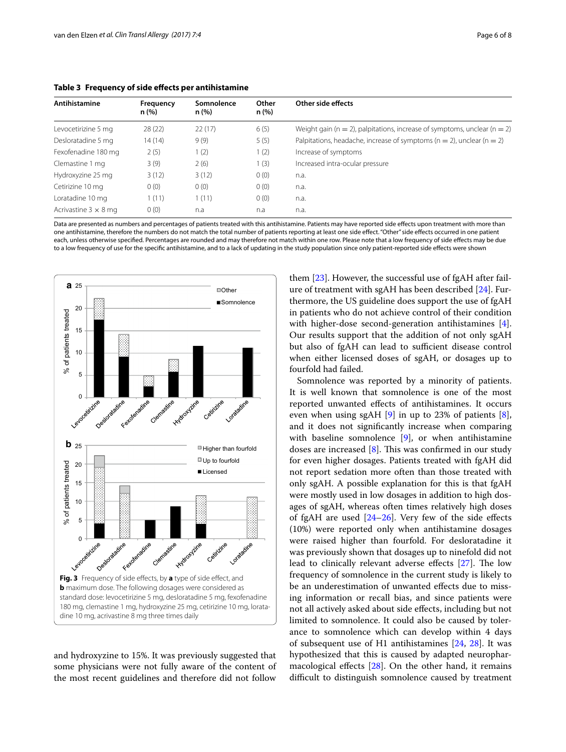<span id="page-5-0"></span>

| Table 3 Frequency of side effects per antihistamine |
|-----------------------------------------------------|
|-----------------------------------------------------|

| Antihistamine               | Frequency<br>n (%) | Somnolence<br>n (% ) | Other<br>n (%) | Other side effects                                                               |
|-----------------------------|--------------------|----------------------|----------------|----------------------------------------------------------------------------------|
| Levocetirizine 5 mg         | 28(22)             | 22(17)               | 6(5)           | Weight gain ( $n = 2$ ), palpitations, increase of symptoms, unclear ( $n = 2$ ) |
| Desloratadine 5 mg          | 14 (14)            | 9(9)                 | 5(5)           | Palpitations, headache, increase of symptoms ( $n = 2$ ), unclear ( $n = 2$ )    |
| Fexofenadine 180 mg         | 2(5)               | (2)                  | 1(2)           | Increase of symptoms                                                             |
| Clemastine 1 mg             | 3(9)               | 2(6)                 | 1(3)           | Increased intra-ocular pressure                                                  |
| Hydroxyzine 25 mg           | 3(12)              | 3(12)                | 0(0)           | n.a.                                                                             |
| Cetirizine 10 mg            | 0(0)               | 0(0)                 | 0(0)           | n.a.                                                                             |
| Loratadine 10 mg            | (11)               | 1 (11)               | 0(0)           | n.a.                                                                             |
| Acrivastine $3 \times 8$ mg | 0(0)               | n.a                  | n.a            | n.a.                                                                             |

Data are presented as numbers and percentages of patients treated with this antihistamine. Patients may have reported side effects upon treatment with more than one antihistamine, therefore the numbers do not match the total number of patients reporting at least one side effect. "Other" side effects occurred in one patient each, unless otherwise specified. Percentages are rounded and may therefore not match within one row. Please note that a low frequency of side effects may be due to a low frequency of use for the specific antihistamine, and to a lack of updating in the study population since only patient-reported side effects were shown



<span id="page-5-1"></span>and hydroxyzine to 15%. It was previously suggested that some physicians were not fully aware of the content of the most recent guidelines and therefore did not follow them [[23\]](#page-7-7). However, the successful use of fgAH after failure of treatment with sgAH has been described [[24](#page-7-8)]. Furthermore, the US guideline does support the use of fgAH in patients who do not achieve control of their condition with higher-dose second-generation antihistamines [\[4](#page-6-3)]. Our results support that the addition of not only sgAH but also of fgAH can lead to sufficient disease control when either licensed doses of sgAH, or dosages up to fourfold had failed.

Somnolence was reported by a minority of patients. It is well known that somnolence is one of the most reported unwanted effects of antihistamines. It occurs even when using sgAH [\[9](#page-6-9)] in up to 23% of patients [\[8](#page-6-7)], and it does not significantly increase when comparing with baseline somnolence [[9\]](#page-6-9), or when antihistamine doses are increased [\[8](#page-6-7)]. This was confirmed in our study for even higher dosages. Patients treated with fgAH did not report sedation more often than those treated with only sgAH. A possible explanation for this is that fgAH were mostly used in low dosages in addition to high dosages of sgAH, whereas often times relatively high doses of fgAH are used [\[24–](#page-7-8)[26\]](#page-7-9). Very few of the side effects (10%) were reported only when antihistamine dosages were raised higher than fourfold. For desloratadine it was previously shown that dosages up to ninefold did not lead to clinically relevant adverse effects [[27\]](#page-7-10). The low frequency of somnolence in the current study is likely to be an underestimation of unwanted effects due to missing information or recall bias, and since patients were not all actively asked about side effects, including but not limited to somnolence. It could also be caused by tolerance to somnolence which can develop within 4 days of subsequent use of H1 antihistamines [[24](#page-7-8), [28](#page-7-11)]. It was hypothesized that this is caused by adapted neuropharmacological effects [[28\]](#page-7-11). On the other hand, it remains difficult to distinguish somnolence caused by treatment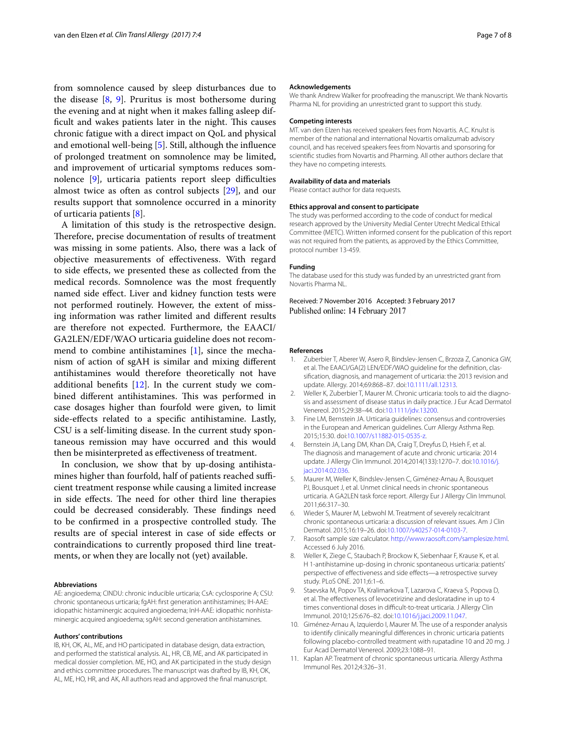from somnolence caused by sleep disturbances due to the disease [[8,](#page-6-7) [9](#page-6-9)]. Pruritus is most bothersome during the evening and at night when it makes falling asleep difficult and wakes patients later in the night. This causes chronic fatigue with a direct impact on QoL and physical and emotional well-being [[5\]](#page-6-4). Still, although the influence of prolonged treatment on somnolence may be limited, and improvement of urticarial symptoms reduces somnolence [\[9\]](#page-6-9), urticaria patients report sleep difficulties almost twice as often as control subjects [[29\]](#page-7-12), and our results support that somnolence occurred in a minority of urticaria patients [\[8](#page-6-7)].

A limitation of this study is the retrospective design. Therefore, precise documentation of results of treatment was missing in some patients. Also, there was a lack of objective measurements of effectiveness. With regard to side effects, we presented these as collected from the medical records. Somnolence was the most frequently named side effect. Liver and kidney function tests were not performed routinely. However, the extent of missing information was rather limited and different results are therefore not expected. Furthermore, the EAACI/ GA2LEN/EDF/WAO urticaria guideline does not recommend to combine antihistamines  $[1]$  $[1]$ , since the mechanism of action of sgAH is similar and mixing different antihistamines would therefore theoretically not have additional benefits  $[12]$ . In the current study we combined different antihistamines. This was performed in case dosages higher than fourfold were given, to limit side-effects related to a specific antihistamine. Lastly, CSU is a self-limiting disease. In the current study spontaneous remission may have occurred and this would then be misinterpreted as effectiveness of treatment.

In conclusion, we show that by up-dosing antihistamines higher than fourfold, half of patients reached sufficient treatment response while causing a limited increase in side effects. The need for other third line therapies could be decreased considerably. These findings need to be confirmed in a prospective controlled study. The results are of special interest in case of side effects or contraindications to currently proposed third line treatments, or when they are locally not (yet) available.

#### **Abbreviations**

AE: angioedema; CINDU: chronic inducible urticaria; CsA: cyclosporine A; CSU: chronic spontaneous urticaria; fgAH: first generation antihistamines; IH-AAE: idiopathic histaminergic acquired angioedema; InH-AAE: idiopathic nonhistaminergic acquired angioedema; sgAH: second generation antihistamines.

#### **Authors' contributions**

IB, KH, OK, AL, ME, and HO participated in database design, data extraction, and performed the statistical analysis. AL, HR, CB, ME, and AK participated in medical dossier completion. ME, HO, and AK participated in the study design and ethics committee procedures. The manuscript was drafted by IB, KH, OK, AL, ME, HO, HR, and AK, All authors read and approved the final manuscript.

#### **Acknowledgements**

We thank Andrew Walker for proofreading the manuscript. We thank Novartis Pharma NL for providing an unrestricted grant to support this study.

#### **Competing interests**

MT. van den Elzen has received speakers fees from Novartis. A.C. Knulst is member of the national and international Novartis omalizumab advisory council, and has received speakers fees from Novartis and sponsoring for scientific studies from Novartis and Pharming. All other authors declare that they have no competing interests.

#### **Availability of data and materials**

Please contact author for data requests.

#### **Ethics approval and consent to participate**

The study was performed according to the code of conduct for medical research approved by the University Medial Center Utrecht Medical Ethical Committee (METC). Written informed consent for the publication of this report was not required from the patients, as approved by the Ethics Committee, protocol number 13-459.

#### **Funding**

The database used for this study was funded by an unrestricted grant from Novartis Pharma NL.

Received: 7 November 2016 Accepted: 3 February 2017 Published online: 14 February 2017

#### **References**

- <span id="page-6-0"></span>1. Zuberbier T, Aberer W, Asero R, Bindslev-Jensen C, Brzoza Z, Canonica GW, et al. The EAACI/GA(2) LEN/EDF/WAO guideline for the definition, classification, diagnosis, and management of urticaria: the 2013 revision and update. Allergy. 2014;69:868–87. doi[:10.1111/all.12313](http://dx.doi.org/10.1111/all.12313).
- <span id="page-6-1"></span>2. Weller K, Zuberbier T, Maurer M. Chronic urticaria: tools to aid the diagnosis and assessment of disease status in daily practice. J Eur Acad Dermatol Venereol. 2015;29:38–44. doi:[10.1111/jdv.13200](http://dx.doi.org/10.1111/jdv.13200).
- <span id="page-6-2"></span>3. Fine LM, Bernstein JA. Urticaria guidelines: consensus and controversies in the European and American guidelines. Curr Allergy Asthma Rep. 2015;15:30. doi:[10.1007/s11882-015-0535-z.](http://dx.doi.org/10.1007/s11882-015-0535-z)
- <span id="page-6-3"></span>4. Bernstein JA, Lang DM, Khan DA, Craig T, Dreyfus D, Hsieh F, et al. The diagnosis and management of acute and chronic urticaria: 2014 update. J Allergy Clin Immunol. 2014;2014(133):1270–7. doi[:10.1016/j.](http://dx.doi.org/10.1016/j.jaci.2014.02.036) [jaci.2014.02.036.](http://dx.doi.org/10.1016/j.jaci.2014.02.036)
- <span id="page-6-4"></span>5. Maurer M, Weller K, Bindslev-Jensen C, Giménez-Arnau A, Bousquet PJ, Bousquet J, et al. Unmet clinical needs in chronic spontaneous urticaria. A GA2LEN task force report. Allergy Eur J Allergy Clin Immunol. 2011;66:317–30.
- <span id="page-6-5"></span>6. Wieder S, Maurer M, Lebwohl M. Treatment of severely recalcitrant chronic spontaneous urticaria: a discussion of relevant issues. Am J Clin Dermatol. 2015;16:19–26. doi:[10.1007/s40257-014-0103-7.](http://dx.doi.org/10.1007/s40257-014-0103-7)
- <span id="page-6-6"></span>7. Raosoft sample size calculator. <http://www.raosoft.com/samplesize.html>. Accessed 6 July 2016.
- <span id="page-6-7"></span>8. Weller K, Ziege C, Staubach P, Brockow K, Siebenhaar F, Krause K, et al. H 1-antihistamine up-dosing in chronic spontaneous urticaria: patients' perspective of effectiveness and side effects—a retrospective survey study. PLoS ONE. 2011;6:1–6.
- <span id="page-6-9"></span>9. Staevska M, Popov TA, Kralimarkova T, Lazarova C, Kraeva S, Popova D, et al. The effectiveness of levocetirizine and desloratadine in up to 4 times conventional doses in difficult-to-treat urticaria. J Allergy Clin Immunol. 2010;125:676–82. doi[:10.1016/j.jaci.2009.11.047.](http://dx.doi.org/10.1016/j.jaci.2009.11.047)
- <span id="page-6-8"></span>10. Giménez-Arnau A, Izquierdo I, Maurer M. The use of a responder analysis to identify clinically meaningful differences in chronic urticaria patients following placebo-controlled treatment with rupatadine 10 and 20 mg. J Eur Acad Dermatol Venereol. 2009;23:1088–91.
- <span id="page-6-10"></span>11. Kaplan AP. Treatment of chronic spontaneous urticaria. Allergy Asthma Immunol Res. 2012;4:326–31.